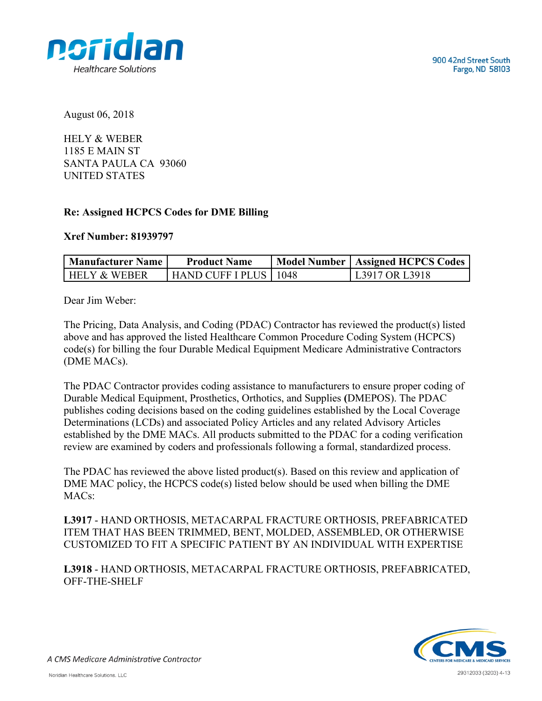

August 06, 2018

HELY & WEBER 1185 E MAIN ST SANTA PAULA CA 93060 UNITED STATES

## **Re: Assigned HCPCS Codes for DME Billing**

## **Xref Number: 81939797**

| Manufacturer Name       | <b>Product Name</b>     | Model Number   Assigned HCPCS Codes |
|-------------------------|-------------------------|-------------------------------------|
| <b>HELY &amp; WEBER</b> | HAND CUFF I PLUS   1048 | L3917 OR L3918                      |

Dear Jim Weber:

The Pricing, Data Analysis, and Coding (PDAC) Contractor has reviewed the product(s) listed above and has approved the listed Healthcare Common Procedure Coding System (HCPCS) code(s) for billing the four Durable Medical Equipment Medicare Administrative Contractors (DME MACs).

The PDAC Contractor provides coding assistance to manufacturers to ensure proper coding of Durable Medical Equipment, Prosthetics, Orthotics, and Supplies **(**DMEPOS). The PDAC publishes coding decisions based on the coding guidelines established by the Local Coverage Determinations (LCDs) and associated Policy Articles and any related Advisory Articles established by the DME MACs. All products submitted to the PDAC for a coding verification review are examined by coders and professionals following a formal, standardized process.

The PDAC has reviewed the above listed product(s). Based on this review and application of DME MAC policy, the HCPCS code(s) listed below should be used when billing the DME MAC<sub>s</sub>.

**L3917** - HAND ORTHOSIS, METACARPAL FRACTURE ORTHOSIS, PREFABRICATED ITEM THAT HAS BEEN TRIMMED, BENT, MOLDED, ASSEMBLED, OR OTHERWISE CUSTOMIZED TO FIT A SPECIFIC PATIENT BY AN INDIVIDUAL WITH EXPERTISE

**L3918** - HAND ORTHOSIS, METACARPAL FRACTURE ORTHOSIS, PREFABRICATED, OFF-THE-SHELF



A CMS Medicare Administrative Contractor